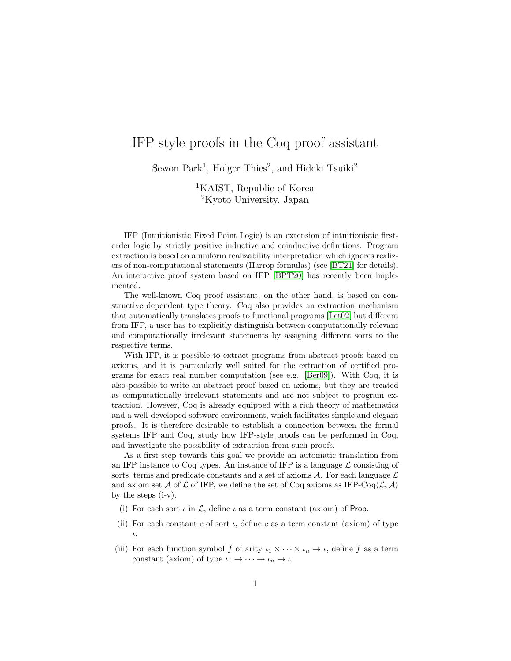## IFP style proofs in the Coq proof assistant

Sewon Park<sup>1</sup>, Holger Thies<sup>2</sup>, and Hideki Tsuiki<sup>2</sup>

<sup>1</sup>KAIST, Republic of Korea <sup>2</sup>Kyoto University, Japan

IFP (Intuitionistic Fixed Point Logic) is an extension of intuitionistic firstorder logic by strictly positive inductive and coinductive definitions. Program extraction is based on a uniform realizability interpretation which ignores realizers of non-computational statements (Harrop formulas) (see [\[BT21\]](#page-1-0) for details). An interactive proof system based on IFP [\[BPT20\]](#page-1-1) has recently been implemented.

The well-known Coq proof assistant, on the other hand, is based on constructive dependent type theory. Coq also provides an extraction mechanism that automatically translates proofs to functional programs [\[Let02\]](#page-1-2) but different from IFP, a user has to explicitly distinguish between computationally relevant and computationally irrelevant statements by assigning different sorts to the respective terms.

With IFP, it is possible to extract programs from abstract proofs based on axioms, and it is particularly well suited for the extraction of certified programs for exact real number computation (see e.g. [\[Ber09\]](#page-1-3)). With Coq, it is also possible to write an abstract proof based on axioms, but they are treated as computationally irrelevant statements and are not subject to program extraction. However, Coq is already equipped with a rich theory of mathematics and a well-developed software environment, which facilitates simple and elegant proofs. It is therefore desirable to establish a connection between the formal systems IFP and Coq, study how IFP-style proofs can be performed in Coq, and investigate the possibility of extraction from such proofs.

As a first step towards this goal we provide an automatic translation from an IFP instance to Coq types. An instance of IFP is a language  $\mathcal L$  consisting of sorts, terms and predicate constants and a set of axioms  $A$ . For each language  $\mathcal L$ and axiom set A of L of IFP, we define the set of Coq axioms as IFP-Coq( $\mathcal{L}, \mathcal{A}$ ) by the steps (i-v).

- (i) For each sort  $\iota$  in  $\mathcal{L}$ , define  $\iota$  as a term constant (axiom) of Prop.
- (ii) For each constant c of sort  $\iota$ , define c as a term constant (axiom) of type ι.
- (iii) For each function symbol f of arity  $\iota_1 \times \cdots \times \iota_n \to \iota$ , define f as a term constant (axiom) of type  $\iota_1 \to \cdots \to \iota_n \to \iota$ .